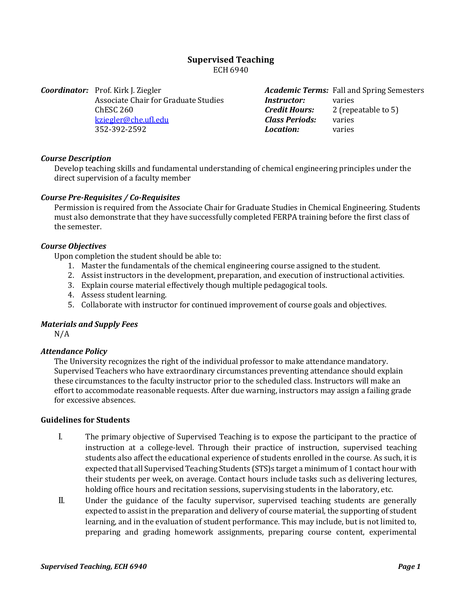# **Supervised Teaching** ECH 6940

*Coordinator:* Prof. Kirk J. Ziegler Associate Chair for Graduate Studies ChESC 260 [kziegler@che.ufl.edu](mailto:kziegler@che.ufl.edu) 352-392-2592

*Academic Terms:* Fall and Spring Semesters<br>**Instructor:** varies *Instructor:<br>Credit Hours: Credit Hours:* 2 (repeatable to 5) *Class Periods:* varies  $Location:$ 

#### *Course Description*

Develop teaching skills and fundamental understanding of chemical engineering principles under the direct supervision of a faculty member

#### *Course Pre-Requisites / Co-Requisites*

Permission is required from the Associate Chair for Graduate Studies in Chemical Engineering. Students must also demonstrate that they have successfully completed FERPA training before the first class of the semester.

#### *Course Objectives*

Upon completion the student should be able to:

- 1. Master the fundamentals of the chemical engineering course assigned to the student.
- 2. Assist instructors in the development, preparation, and execution of instructional activities.
- 3. Explain course material effectively though multiple pedagogical tools.
- 4. Assess student learning.
- 5. Collaborate with instructor for continued improvement of course goals and objectives.

#### *Materials and Supply Fees*

N/A

#### *Attendance Policy*

The University recognizes the right of the individual professor to make attendance mandatory. Supervised Teachers who have extraordinary circumstances preventing attendance should explain these circumstances to the faculty instructor prior to the scheduled class. Instructors will make an effort to accommodate reasonable requests. After due warning, instructors may assign a failing grade for excessive absences.

## **Guidelines for Students**

- I. The primary objective of Supervised Teaching is to expose the participant to the practice of instruction at a college-level. Through their practice of instruction, supervised teaching students also affect the educational experience of students enrolled in the course. As such, it is expected that all Supervised Teaching Students (STS)s target a minimum of 1 contact hour with their students per week, on average. Contact hours include tasks such as delivering lectures, holding office hours and recitation sessions, supervising students in the laboratory, etc.
- II. Under the guidance of the faculty supervisor, supervised teaching students are generally expected to assist in the preparation and delivery of course material, the supporting of student learning, and in the evaluation of student performance. This may include, but is not limited to, preparing and grading homework assignments, preparing course content, experimental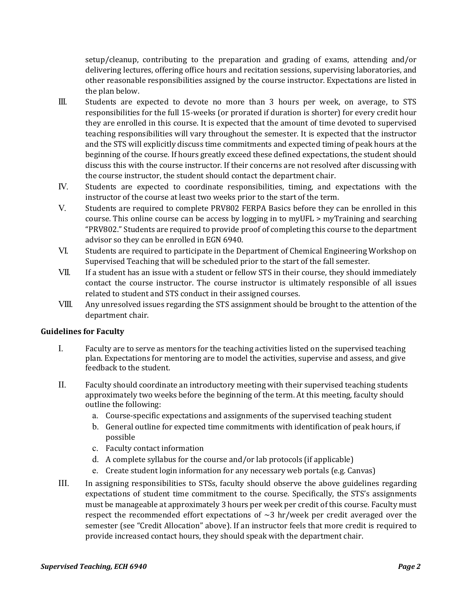setup/cleanup, contributing to the preparation and grading of exams, attending and/or delivering lectures, offering office hours and recitation sessions, supervising laboratories, and other reasonable responsibilities assigned by the course instructor. Expectations are listed in the plan below.

- III. Students are expected to devote no more than 3 hours per week, on average, to STS responsibilities for the full 15-weeks (or prorated if duration is shorter) for every credit hour they are enrolled in this course. It is expected that the amount of time devoted to supervised teaching responsibilities will vary throughout the semester. It is expected that the instructor and the STS will explicitly discuss time commitments and expected timing of peak hours at the beginning of the course. If hours greatly exceed these defined expectations, the student should discuss this with the course instructor. If their concerns are not resolved after discussing with the course instructor, the student should contact the department chair.
- IV. Students are expected to coordinate responsibilities, timing, and expectations with the instructor of the course at least two weeks prior to the start of the term.
- V. Students are required to complete PRV802 FERPA Basics before they can be enrolled in this course. This online course can be access by logging in to myUFL > myTraining and searching "PRV802." Students are required to provide proof of completing this course to the department advisor so they can be enrolled in EGN 6940.
- VI. Students are required to participate in the Department of Chemical Engineering Workshop on Supervised Teaching that will be scheduled prior to the start of the fall semester.
- VII. If a student has an issue with a student or fellow STS in their course, they should immediately contact the course instructor. The course instructor is ultimately responsible of all issues related to student and STS conduct in their assigned courses.
- VIII. Any unresolved issues regarding the STS assignment should be brought to the attention of the department chair.

## **Guidelines for Faculty**

- I. Faculty are to serve as mentors for the teaching activities listed on the supervised teaching plan. Expectations for mentoring are to model the activities, supervise and assess, and give feedback to the student.
- II. Faculty should coordinate an introductory meeting with their supervised teaching students approximately two weeks before the beginning of the term. At this meeting, faculty should outline the following:
	- a. Course-specific expectations and assignments of the supervised teaching student
	- b. General outline for expected time commitments with identification of peak hours, if possible
	- c. Faculty contact information
	- d. A complete syllabus for the course and/or lab protocols (if applicable)
	- e. Create student login information for any necessary web portals (e.g. Canvas)
- III. In assigning responsibilities to STSs, faculty should observe the above guidelines regarding expectations of student time commitment to the course. Specifically, the STS's assignments must be manageable at approximately 3 hours per week per credit of this course. Faculty must respect the recommended effort expectations of  $\sim$ 3 hr/week per credit averaged over the semester (see "Credit Allocation" above). If an instructor feels that more credit is required to provide increased contact hours, they should speak with the department chair.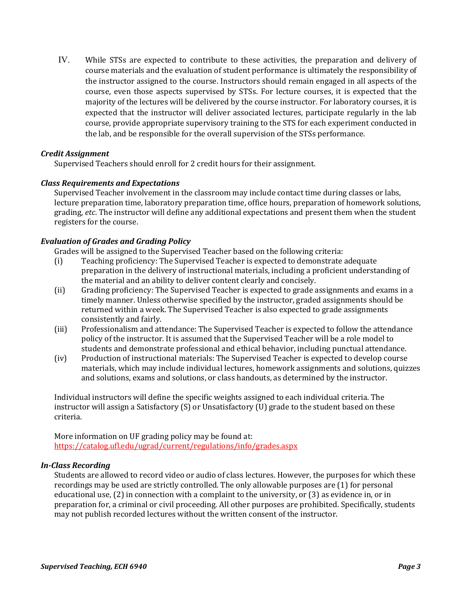IV. While STSs are expected to contribute to these activities, the preparation and delivery of course materials and the evaluation of student performance is ultimately the responsibility of the instructor assigned to the course. Instructors should remain engaged in all aspects of the course, even those aspects supervised by STSs. For lecture courses, it is expected that the majority of the lectures will be delivered by the course instructor. For laboratory courses, it is expected that the instructor will deliver associated lectures, participate regularly in the lab course, provide appropriate supervisory training to the STS for each experiment conducted in the lab, and be responsible for the overall supervision of the STSs performance.

### *Credit Assignment*

Supervised Teachers should enroll for 2 credit hours for their assignment.

### *Class Requirements and Expectations*

Supervised Teacher involvement in the classroom may include contact time during classes or labs, lecture preparation time, laboratory preparation time, office hours, preparation of homework solutions, grading, *etc*. The instructor will define any additional expectations and present them when the student registers for the course.

### *Evaluation of Grades and Grading Policy*

Grades will be assigned to the Supervised Teacher based on the following criteria:

- (i) Teaching proficiency: The Supervised Teacher is expected to demonstrate adequate preparation in the delivery of instructional materials, including a proficient understanding of the material and an ability to deliver content clearly and concisely.
- (ii) Grading proficiency: The Supervised Teacher is expected to grade assignments and exams in a timely manner. Unless otherwise specified by the instructor, graded assignments should be returned within a week. The Supervised Teacher is also expected to grade assignments consistently and fairly.
- (iii) Professionalism and attendance: The Supervised Teacher is expected to follow the attendance policy of the instructor. It is assumed that the Supervised Teacher will be a role model to students and demonstrate professional and ethical behavior, including punctual attendance.
- (iv) Production of instructional materials: The Supervised Teacher is expected to develop course materials, which may include individual lectures, homework assignments and solutions, quizzes and solutions, exams and solutions, or class handouts, as determined by the instructor.

Individual instructors will define the specific weights assigned to each individual criteria. The instructor will assign a Satisfactory (S) or Unsatisfactory (U) grade to the student based on these criteria.

More information on UF grading policy may be found at: <https://catalog.ufl.edu/ugrad/current/regulations/info/grades.aspx>

# *In-Class Recording*

Students are allowed to record video or audio of class lectures. However, the purposes for which these recordings may be used are strictly controlled. The only allowable purposes are (1) for personal educational use, (2) in connection with a complaint to the university, or (3) as evidence in, or in preparation for, a criminal or civil proceeding. All other purposes are prohibited. Specifically, students may not publish recorded lectures without the written consent of the instructor.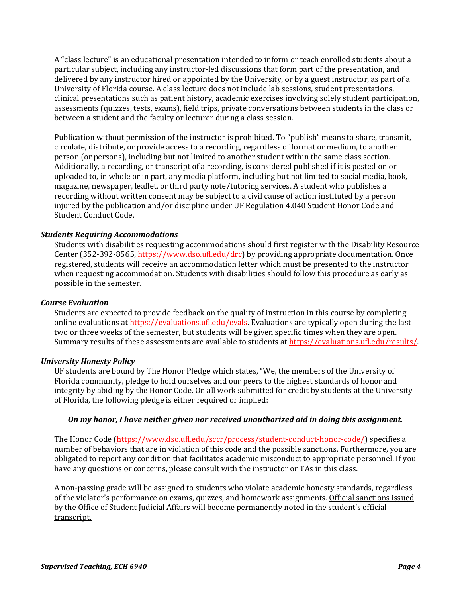A "class lecture" is an educational presentation intended to inform or teach enrolled students about a particular subject, including any instructor-led discussions that form part of the presentation, and delivered by any instructor hired or appointed by the University, or by a guest instructor, as part of a University of Florida course. A class lecture does not include lab sessions, student presentations, clinical presentations such as patient history, academic exercises involving solely student participation, assessments (quizzes, tests, exams), field trips, private conversations between students in the class or between a student and the faculty or lecturer during a class session.

Publication without permission of the instructor is prohibited. To "publish" means to share, transmit, circulate, distribute, or provide access to a recording, regardless of format or medium, to another person (or persons), including but not limited to another student within the same class section. Additionally, a recording, or transcript of a recording, is considered published if it is posted on or uploaded to, in whole or in part, any media platform, including but not limited to social media, book, magazine, newspaper, leaflet, or third party note/tutoring services. A student who publishes a recording without written consent may be subject to a civil cause of action instituted by a person injured by the publication and/or discipline under UF Regulation 4.040 Student Honor Code and Student Conduct Code.

### *Students Requiring Accommodations*

Students with disabilities requesting accommodations should first register with the Disability Resource Center (352-392-8565, https://www.dso.ufl.edu/drc) by providing appropriate documentation. Once registered, students will receive an accommodation letter which must be presented to the instructor when requesting accommodation. Students with disabilities should follow this procedure as early as possible in the semester.

#### *Course Evaluation*

Students are expected to provide feedback on the quality of instruction in this course by completing online evaluations at [https://evaluations.ufl.edu/evals.](https://evaluations.ufl.edu/evals) Evaluations are typically open during the last two or three weeks of the semester, but students will be given specific times when they are open. Summary results of these assessments are available to students at [https://evaluations.ufl.edu/results/.](https://evaluations.ufl.edu/results/)

#### *University Honesty Policy*

UF students are bound by The Honor Pledge which states, "We, the members of the University of Florida community, pledge to hold ourselves and our peers to the highest standards of honor and integrity by abiding by the Honor Code. On all work submitted for credit by students at the University of Florida, the following pledge is either required or implied:

#### *On my honor, I have neither given nor received unauthorized aid in doing this assignment.*

The Honor Code (https://www.dso.ufl.edu/sccr/process/student-conduct-honor-code/) specifies a number of behaviors that are in violation of this code and the possible sanctions. Furthermore, you are obligated to report any condition that facilitates academic misconduct to appropriate personnel. If you have any questions or concerns, please consult with the instructor or TAs in this class.

A non-passing grade will be assigned to students who violate academic honesty standards, regardless of the violator's performance on exams, quizzes, and homework assignments. Official sanctions issued by the Office of Student Judicial Affairs will become permanently noted in the student's official transcript.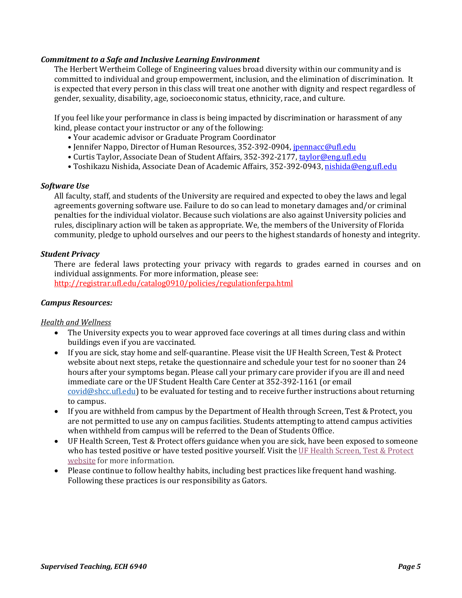### *Commitment to a Safe and Inclusive Learning Environment*

The Herbert Wertheim College of Engineering values broad diversity within our community and is committed to individual and group empowerment, inclusion, and the elimination of discrimination. It is expected that every person in this class will treat one another with dignity and respect regardless of gender, sexuality, disability, age, socioeconomic status, ethnicity, race, and culture.

If you feel like your performance in class is being impacted by discrimination or harassment of any kind, please contact your instructor or any of the following:

- Your academic advisor or Graduate Program Coordinator
- Jennifer Nappo, Director of Human Resources, 352-392-0904, [jpennacc@ufl.edu](mailto:jpennacc@ufl.edu)
- Curtis Taylor, Associate Dean of Student Affairs, 352-392-2177[, taylor@eng.ufl.edu](mailto:taylor@eng.ufl.edu)
- Toshikazu Nishida, Associate Dean of Academic Affairs, 352-392-0943[, nishida@eng.ufl.edu](mailto:nishida@eng.ufl.edu)

#### *Software Use*

All faculty, staff, and students of the University are required and expected to obey the laws and legal agreements governing software use. Failure to do so can lead to monetary damages and/or criminal penalties for the individual violator. Because such violations are also against University policies and rules, disciplinary action will be taken as appropriate. We, the members of the University of Florida community, pledge to uphold ourselves and our peers to the highest standards of honesty and integrity.

### *Student Privacy*

There are federal laws protecting your privacy with regards to grades earned in courses and on individual assignments. For more information, please see:

<http://registrar.ufl.edu/catalog0910/policies/regulationferpa.html>

### *Campus Resources:*

#### *Health and Wellness*

- The University expects you to wear approved face coverings at all times during class and within buildings even if you are vaccinated.
- If you are sick, stay home and self-quarantine. Please visit the UF Health Screen, Test & Protect website about next steps, retake the questionnaire and schedule your test for no sooner than 24 hours after your symptoms began. Please call your primary care provider if you are ill and need immediate care or the UF Student Health Care Center at 352-392-1161 (or email [covid@shcc.ufl.edu\)](mailto:covid@shcc.ufl.edu) to be evaluated for testing and to receive further instructions about returning to campus.
- If you are withheld from campus by the Department of Health through Screen, Test & Protect, you are not permitted to use any on campus facilities. Students attempting to attend campus activities when withheld from campus will be referred to the Dean of Students Office.
- UF Health Screen, Test & Protect offers guidance when you are sick, have been exposed to someone who has tested positive or have tested positive yourself. Visit the [UF Health Screen, Test & Protect](https://click.info.gator360.ufl.edu/?qs=8f0d5e01a3f7385148f144e2089093522a358a8d85cb9db73c31675d3c5e5c0d27748d40c212f544822551342f1912ea5b4f2b890d5952e8)  [website](https://click.info.gator360.ufl.edu/?qs=8f0d5e01a3f7385148f144e2089093522a358a8d85cb9db73c31675d3c5e5c0d27748d40c212f544822551342f1912ea5b4f2b890d5952e8) for more information.
- Please continue to follow healthy habits, including best practices like frequent hand washing. Following these practices is our responsibility as Gators.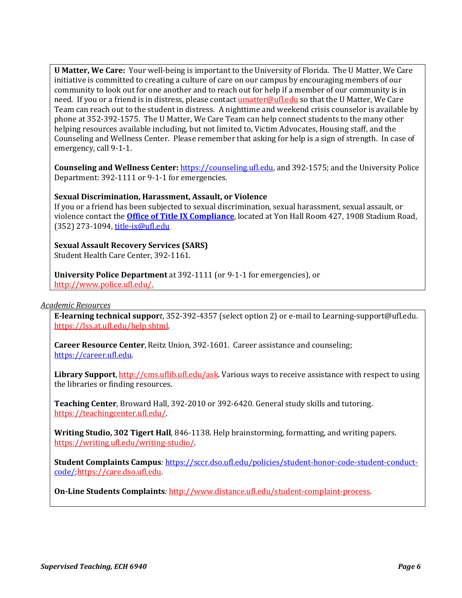**U Matter, We Care:** Your well-being is important to the University of Florida. The U Matter, We Care initiative is committed to creating a culture of care on our campus by encouraging members of our community to look out for one another and to reach out for help if a member of our community is in need. If you or a friend is in distress, please contact **umatter@ufl.edu** so that the U Matter, We Care Team can reach out to the student in distress. A nighttime and weekend crisis counselor is available by phone at 352-392-1575. The U Matter, We Care Team can help connect students to the many other helping resources available including, but not limited to, Victim Advocates, Housing staff, and the Counseling and Wellness Center. Please remember that asking for help is a sign of strength. In case of emergency, call 9-1-1.

**Counseling and Wellness Center:** [https://counseling.ufl.edu,](https://counseling.ufl.edu/) and 392-1575; and the University Police Department: 392-1111 or 9-1-1 for emergencies.

## **Sexual Discrimination, Harassment, Assault, or Violence**

If you or a friend has been subjected to sexual discrimination, sexual harassment, sexual assault, or violence contact the **[Office of Title IX Compliance](https://titleix.ufl.edu/)**, located at Yon Hall Room 427, 1908 Stadium Road, (352) 273-1094, [title-ix@ufl.edu](mailto:title-ix@ufl.edu)

**Sexual Assault Recovery Services (SARS)**  Student Health Care Center, 392-1161.

**University Police Department** at 392-1111 (or 9-1-1 for emergencies), or [http://www.police.ufl.edu/.](http://www.police.ufl.edu/)

#### *Academic Resources*

**E-learning technical suppor***t*, 352-392-4357 (select option 2) or e-mail to Learning-support@ufl.edu. [https://lss.at.ufl.edu/help.shtml.](https://lss.at.ufl.edu/help.shtml)

**Career Resource Center**, Reitz Union, 392-1601. Career assistance and counseling; [https://career.ufl.edu.](https://career.ufl.edu/)

**Library Support**[, http://cms.uflib.ufl.edu/ask.](http://cms.uflib.ufl.edu/ask) Various ways to receive assistance with respect to using the libraries or finding resources.

**Teaching Center**, Broward Hall, 392-2010 or 392-6420. General study skills and tutoring. [https://teachingcenter.ufl.edu/.](https://teachingcenter.ufl.edu/)

**Writing Studio, 302 Tigert Hall***,* 846-1138. Help brainstorming, formatting, and writing papers. [https://writing.ufl.edu/writing-studio/.](https://writing.ufl.edu/writing-studio/)

**Student Complaints Campus***:* [https://sccr.dso.ufl.edu/policies/student-honor-code-student-conduct](https://sccr.dso.ufl.edu/policies/student-honor-code-student-conduct-code/)[code/](https://sccr.dso.ufl.edu/policies/student-honor-code-student-conduct-code/)[;https://care.dso.ufl.edu.](https://care.dso.ufl.edu/)

**On-Line Students Complaints***:* [http://www.distance.ufl.edu/student-complaint-process.](http://www.distance.ufl.edu/student-complaint-process)